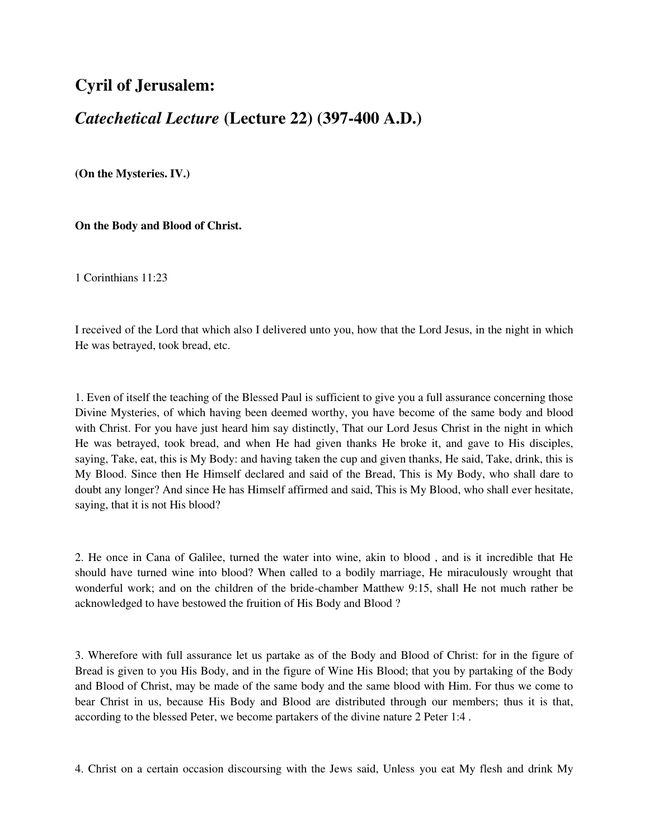## **Cyril of Jerusalem:**

## *Catechetical Lecture* **(Lecture 22) (397-400 A.D.)**

**(On the Mysteries. IV.)** 

**On the Body and Blood of Christ.** 

1 Corinthians 11:23

I received of the Lord that which also I delivered unto you, how that the Lord Jesus, in the night in which He was betrayed, took bread, etc.

1. Even of itself the teaching of the Blessed Paul is sufficient to give you a full assurance concerning those Divine Mysteries, of which having been deemed worthy, you have become of the same body and blood with Christ. For you have just heard him say distinctly, That our Lord Jesus Christ in the night in which He was betrayed, took bread, and when He had given thanks He broke it, and gave to His disciples, saying, Take, eat, this is My Body: and having taken the cup and given thanks, He said, Take, drink, this is My Blood. Since then He Himself declared and said of the Bread, This is My Body, who shall dare to doubt any longer? And since He has Himself affirmed and said, This is My Blood, who shall ever hesitate, saying, that it is not His blood?

2. He once in Cana of Galilee, turned the water into wine, akin to blood , and is it incredible that He should have turned wine into blood? When called to a bodily marriage, He miraculously wrought that wonderful work; and on the children of the bride-chamber Matthew 9:15, shall He not much rather be acknowledged to have bestowed the fruition of His Body and Blood ?

3. Wherefore with full assurance let us partake as of the Body and Blood of Christ: for in the figure of Bread is given to you His Body, and in the figure of Wine His Blood; that you by partaking of the Body and Blood of Christ, may be made of the same body and the same blood with Him. For thus we come to bear Christ in us, because His Body and Blood are distributed through our members; thus it is that, according to the blessed Peter, we become partakers of the divine nature 2 Peter 1:4 .

4. Christ on a certain occasion discoursing with the Jews said, Unless you eat My flesh and drink My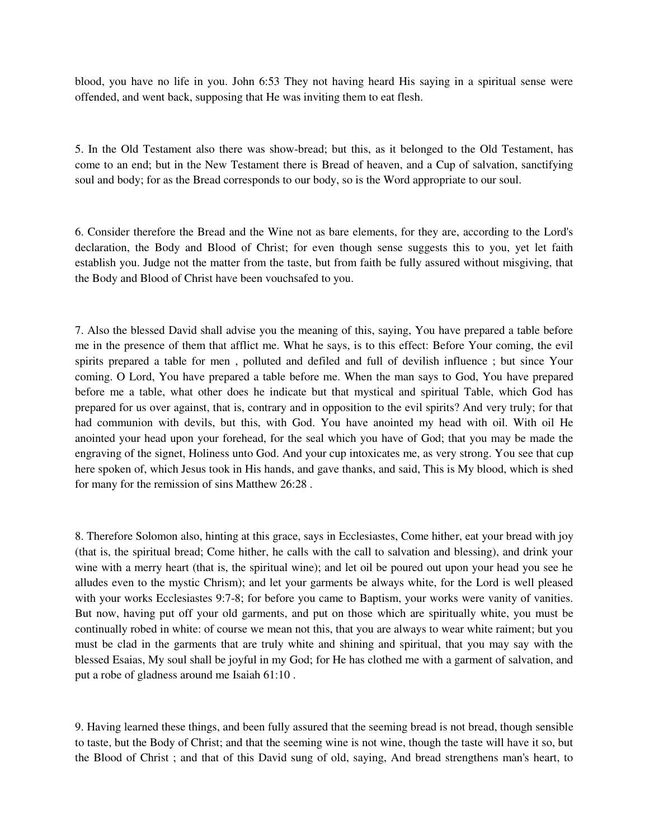blood, you have no life in you. John 6:53 They not having heard His saying in a spiritual sense were offended, and went back, supposing that He was inviting them to eat flesh.

5. In the Old Testament also there was show-bread; but this, as it belonged to the Old Testament, has come to an end; but in the New Testament there is Bread of heaven, and a Cup of salvation, sanctifying soul and body; for as the Bread corresponds to our body, so is the Word appropriate to our soul.

6. Consider therefore the Bread and the Wine not as bare elements, for they are, according to the Lord's declaration, the Body and Blood of Christ; for even though sense suggests this to you, yet let faith establish you. Judge not the matter from the taste, but from faith be fully assured without misgiving, that the Body and Blood of Christ have been vouchsafed to you.

7. Also the blessed David shall advise you the meaning of this, saying, You have prepared a table before me in the presence of them that afflict me. What he says, is to this effect: Before Your coming, the evil spirits prepared a table for men , polluted and defiled and full of devilish influence ; but since Your coming. O Lord, You have prepared a table before me. When the man says to God, You have prepared before me a table, what other does he indicate but that mystical and spiritual Table, which God has prepared for us over against, that is, contrary and in opposition to the evil spirits? And very truly; for that had communion with devils, but this, with God. You have anointed my head with oil. With oil He anointed your head upon your forehead, for the seal which you have of God; that you may be made the engraving of the signet, Holiness unto God. And your cup intoxicates me, as very strong. You see that cup here spoken of, which Jesus took in His hands, and gave thanks, and said, This is My blood, which is shed for many for the remission of sins Matthew 26:28 .

8. Therefore Solomon also, hinting at this grace, says in Ecclesiastes, Come hither, eat your bread with joy (that is, the spiritual bread; Come hither, he calls with the call to salvation and blessing), and drink your wine with a merry heart (that is, the spiritual wine); and let oil be poured out upon your head you see he alludes even to the mystic Chrism); and let your garments be always white, for the Lord is well pleased with your works Ecclesiastes 9:7-8; for before you came to Baptism, your works were vanity of vanities. But now, having put off your old garments, and put on those which are spiritually white, you must be continually robed in white: of course we mean not this, that you are always to wear white raiment; but you must be clad in the garments that are truly white and shining and spiritual, that you may say with the blessed Esaias, My soul shall be joyful in my God; for He has clothed me with a garment of salvation, and put a robe of gladness around me Isaiah 61:10 .

9. Having learned these things, and been fully assured that the seeming bread is not bread, though sensible to taste, but the Body of Christ; and that the seeming wine is not wine, though the taste will have it so, but the Blood of Christ ; and that of this David sung of old, saying, And bread strengthens man's heart, to